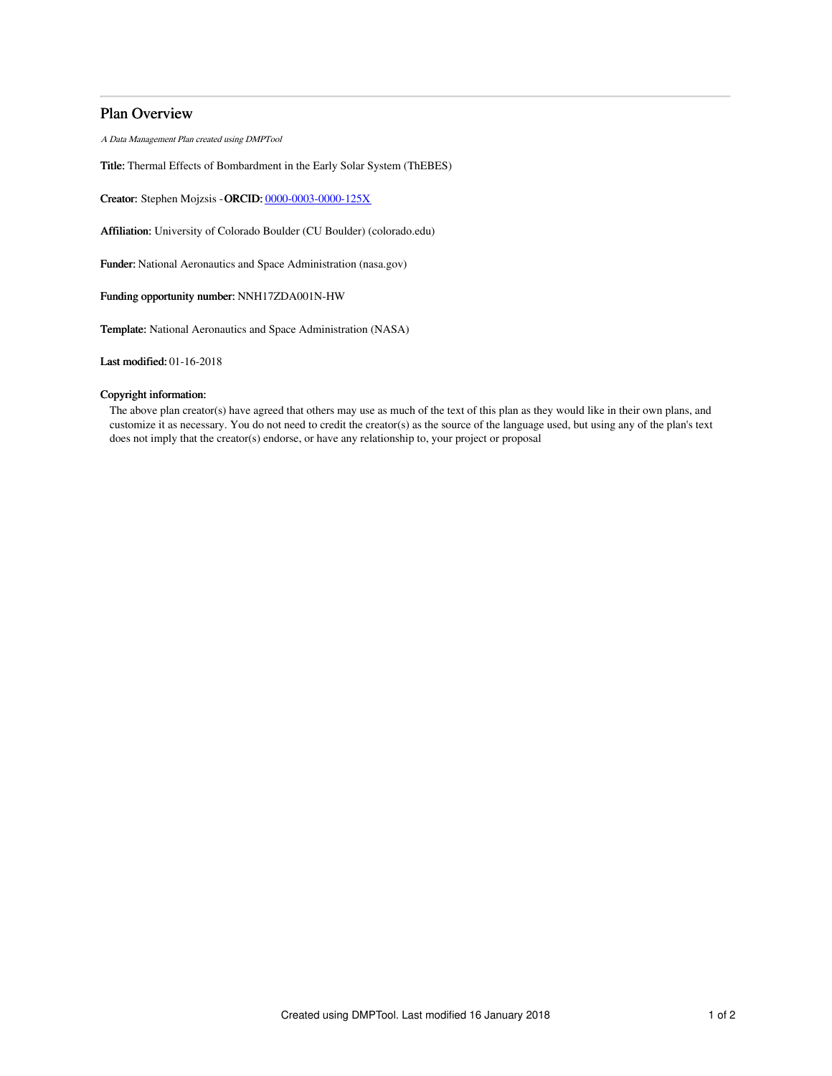# Plan Overview

A Data Management Plan created using DMPTool

Title: Thermal Effects of Bombardment in the Early Solar System (ThEBES)

Creator: Stephen Mojzsis -ORCID: [0000-0003-0000-125X](https://orcid.org/0000-0003-0000-125X)

Affiliation: University of Colorado Boulder (CU Boulder) (colorado.edu)

Funder: National Aeronautics and Space Administration (nasa.gov)

## Funding opportunity number: NNH17ZDA001N-HW

Template: National Aeronautics and Space Administration (NASA)

Last modified: 01-16-2018

# Copyright information:

The above plan creator(s) have agreed that others may use as much of the text of this plan as they would like in their own plans, and customize it as necessary. You do not need to credit the creator(s) as the source of the language used, but using any of the plan's text does not imply that the creator(s) endorse, or have any relationship to, your project or proposal